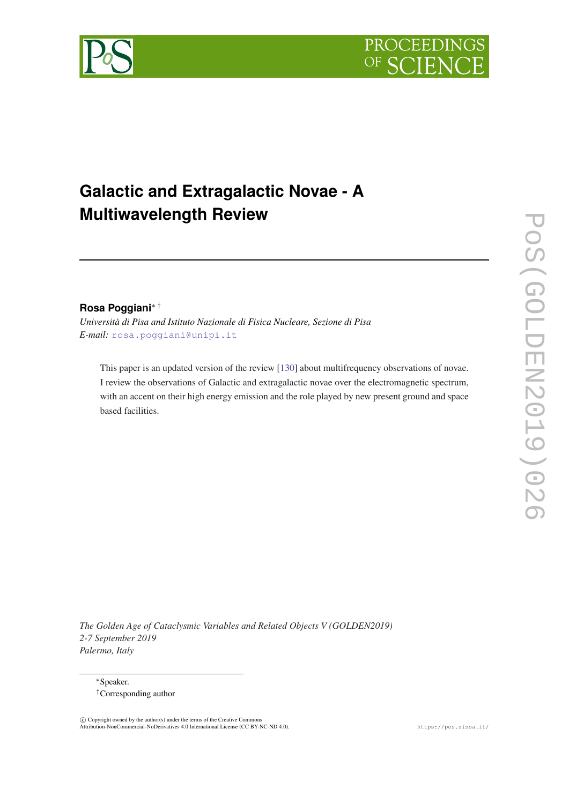



# **Galactic and Extragalactic Novae - A Multiwavelength Review**

## **Rosa Poggiani**∗ †

*Università di Pisa and Istituto Nazionale di Fisica Nucleare, Sezione di Pisa E-mail:* [rosa.poggiani@unipi.it](mailto:rosa.poggiani@unipi.it)

This paper is an updated version of the review [\[130](#page-16-0)] about multifrequency observations of novae. I review the observations of Galactic and extragalactic novae over the electromagnetic spectrum, with an accent on their high energy emission and the role played by new present ground and space based facilities.

*The Golden Age of Cataclysmic Variables and Related Objects V (GOLDEN2019) 2-7 September 2019 Palermo, Italy*

<sup>∗</sup>Speaker. †Corresponding author

 c Copyright owned by the author(s) under the terms of the Creative Commons Attribution-NonCommercial-NoDerivatives 4.0 International License (CC BY-NC-ND 4.0). https://pos.sissa.it/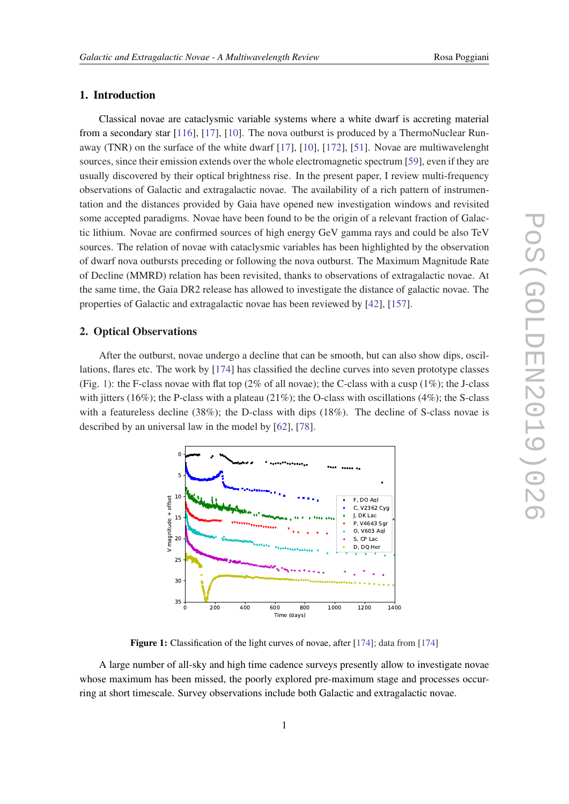### 1. Introduction

Classical novae are cataclysmic variable systems where a white dwarf is accreting material from a secondary star [\[116](#page-15-0)], [[17](#page-12-0)], [[10](#page-12-0)]. The nova outburst is produced by a ThermoNuclear Runaway (TNR) on the surface of the white dwarf [\[17](#page-12-0)], [\[10](#page-12-0)], [\[172](#page-17-0)], [\[51](#page-13-0)]. Novae are multiwavelenght sources, since their emission extends over the whole electromagnetic spectrum [\[59](#page-14-0)], even if they are usually discovered by their optical brightness rise. In the present paper, I review multi-frequency observations of Galactic and extragalactic novae. The availability of a rich pattern of instrumentation and the distances provided by Gaia have opened new investigation windows and revisited some accepted paradigms. Novae have been found to be the origin of a relevant fraction of Galactic lithium. Novae are confirmed sources of high energy GeV gamma rays and could be also TeV sources. The relation of novae with cataclysmic variables has been highlighted by the observation of dwarf nova outbursts preceding or following the nova outburst. The Maximum Magnitude Rate of Decline (MMRD) relation has been revisited, thanks to observations of extragalactic novae. At the same time, the Gaia DR2 release has allowed to investigate the distance of galactic novae. The properties of Galactic and extragalactic novae has been reviewed by [[42\]](#page-13-0), [\[157\]](#page-17-0).

#### 2. Optical Observations

After the outburst, novae undergo a decline that can be smooth, but can also show dips, oscillations, flares etc. The work by [\[174\]](#page-17-0) has classified the decline curves into seven prototype classes (Fig. 1): the F-class novae with flat top (2% of all novae); the C-class with a cusp (1%); the J-class with jitters (16%); the P-class with a plateau (21%); the O-class with oscillations (4%); the S-class with a featureless decline (38%); the D-class with dips (18%). The decline of S-class novae is described by an universal law in the model by [[62\]](#page-14-0), [\[78](#page-14-0)].



Figure 1: Classification of the light curves of novae, after [[174\]](#page-17-0); data from [174]

A large number of all-sky and high time cadence surveys presently allow to investigate novae whose maximum has been missed, the poorly explored pre-maximum stage and processes occurring at short timescale. Survey observations include both Galactic and extragalactic novae.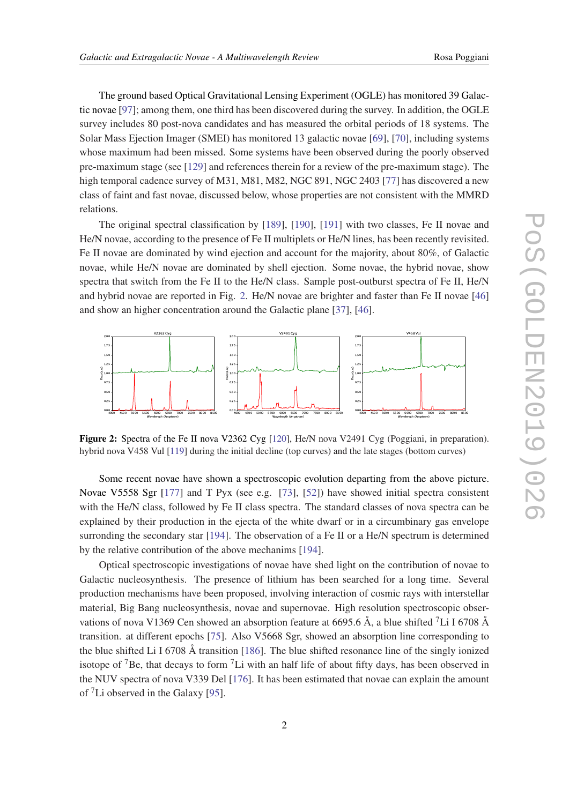The ground based Optical Gravitational Lensing Experiment (OGLE) has monitored 39 Galactic novae [[97\]](#page-15-0); among them, one third has been discovered during the survey. In addition, the OGLE survey includes 80 post-nova candidates and has measured the orbital periods of 18 systems. The Solar Mass Ejection Imager (SMEI) has monitored 13 galactic novae [[69\]](#page-14-0), [[70](#page-14-0)], including systems whose maximum had been missed. Some systems have been observed during the poorly observed pre-maximum stage (see [\[129\]](#page-16-0) and references therein for a review of the pre-maximum stage). The high temporal cadence survey of M31, M81, M82, NGC 891, NGC 2403 [[77\]](#page-14-0) has discovered a new class of faint and fast novae, discussed below, whose properties are not consistent with the MMRD relations.

The original spectral classification by [[189](#page-18-0)], [\[190\]](#page-18-0), [\[191\]](#page-18-0) with two classes, Fe II novae and He/N novae, according to the presence of Fe II multiplets or He/N lines, has been recently revisited. Fe II novae are dominated by wind ejection and account for the majority, about 80%, of Galactic novae, while He/N novae are dominated by shell ejection. Some novae, the hybrid novae, show spectra that switch from the Fe II to the He/N class. Sample post-outburst spectra of Fe II, He/N and hybrid novae are reported in Fig. 2. He/N novae are brighter and faster than Fe II novae [\[46](#page-13-0)] and show an higher concentration around the Galactic plane [\[37](#page-13-0)], [[46\]](#page-13-0).



Figure 2: Spectra of the Fe II nova V2362 Cyg [[120\]](#page-15-0), He/N nova V2491 Cyg (Poggiani, in preparation). hybrid nova V458 Vul [[119\]](#page-15-0) during the initial decline (top curves) and the late stages (bottom curves)

Some recent novae have shown a spectroscopic evolution departing from the above picture. Novae V5558 Sgr [[177](#page-17-0)] and T Pyx (see e.g. [\[73](#page-14-0)], [[52](#page-13-0)]) have showed initial spectra consistent with the He/N class, followed by Fe II class spectra. The standard classes of nova spectra can be explained by their production in the ejecta of the white dwarf or in a circumbinary gas envelope surronding the secondary star [\[194\]](#page-18-0). The observation of a Fe II or a He/N spectrum is determined by the relative contribution of the above mechanims [\[194\]](#page-18-0).

Optical spectroscopic investigations of novae have shed light on the contribution of novae to Galactic nucleosynthesis. The presence of lithium has been searched for a long time. Several production mechanisms have been proposed, involving interaction of cosmic rays with interstellar material, Big Bang nucleosynthesis, novae and supernovae. High resolution spectroscopic observations of nova V1369 Cen showed an absorption feature at 6695.6  $\AA$ , a blue shifted <sup>7</sup>Li I 6708  $\AA$ transition. at different epochs [\[75](#page-14-0)]. Also V5668 Sgr, showed an absorption line corresponding to the blue shifted Li I 6708 Å transition [[186](#page-18-0)]. The blue shifted resonance line of the singly ionized isotope of <sup>7</sup>Be, that decays to form <sup>7</sup>Li with an half life of about fifty days, has been observed in the NUV spectra of nova V339 Del [\[176\]](#page-17-0). It has been estimated that novae can explain the amount of <sup>7</sup>Li observed in the Galaxy [\[95](#page-15-0)].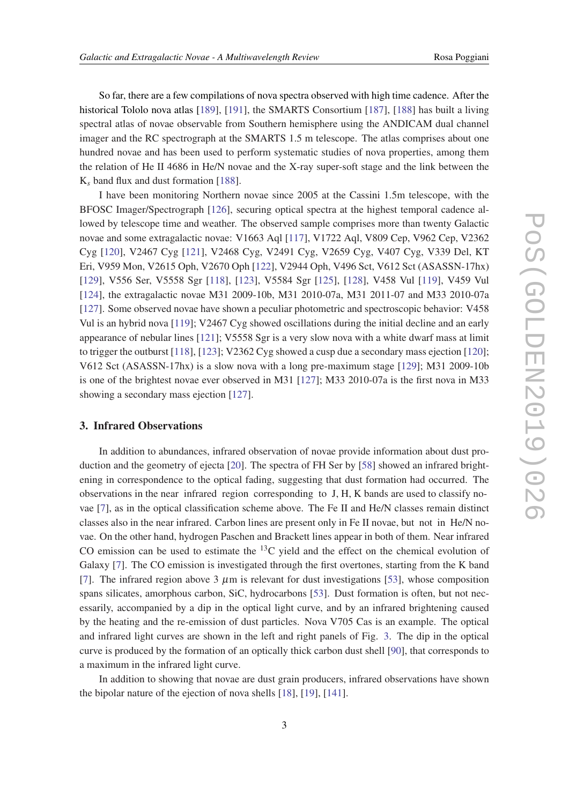So far, there are a few compilations of nova spectra observed with high time cadence. After the historical Tololo nova atlas [\[189](#page-18-0)], [[191](#page-18-0)], the SMARTS Consortium [\[187\]](#page-18-0), [\[188](#page-18-0)] has built a living spectral atlas of novae observable from Southern hemisphere using the ANDICAM dual channel imager and the RC spectrograph at the SMARTS 1.5 m telescope. The atlas comprises about one hundred novae and has been used to perform systematic studies of nova properties, among them the relation of He II 4686 in He/N novae and the X-ray super-soft stage and the link between the K*<sup>s</sup>* band flux and dust formation [[188](#page-18-0)].

I have been monitoring Northern novae since 2005 at the Cassini 1.5m telescope, with the BFOSC Imager/Spectrograph [[126](#page-16-0)], securing optical spectra at the highest temporal cadence allowed by telescope time and weather. The observed sample comprises more than twenty Galactic novae and some extragalactic novae: V1663 Aql [[117](#page-15-0)], V1722 Aql, V809 Cep, V962 Cep, V2362 Cyg [[120](#page-15-0)], V2467 Cyg [\[121](#page-16-0)], V2468 Cyg, V2491 Cyg, V2659 Cyg, V407 Cyg, V339 Del, KT Eri, V959 Mon, V2615 Oph, V2670 Oph [\[122\]](#page-16-0), V2944 Oph, V496 Sct, V612 Sct (ASASSN-17hx) [[129](#page-16-0)], V556 Ser, V5558 Sgr [\[118\]](#page-15-0), [[123](#page-16-0)], V5584 Sgr [[125](#page-16-0)], [\[128\]](#page-16-0), V458 Vul [\[119\]](#page-15-0), V459 Vul [[124](#page-16-0)], the extragalactic novae M31 2009-10b, M31 2010-07a, M31 2011-07 and M33 2010-07a [[127](#page-16-0)]. Some observed novae have shown a peculiar photometric and spectroscopic behavior: V458 Vul is an hybrid nova [[119\]](#page-15-0); V2467 Cyg showed oscillations during the initial decline and an early appearance of nebular lines [\[121\]](#page-16-0); V5558 Sgr is a very slow nova with a white dwarf mass at limit to trigger the outburst [\[118\]](#page-15-0), [[123](#page-16-0)]; V2362 Cyg showed a cusp due a secondary mass ejection [[120](#page-15-0)]; V612 Sct (ASASSN-17hx) is a slow nova with a long pre-maximum stage [[129](#page-16-0)]; M31 2009-10b is one of the brightest novae ever observed in M31 [\[127\]](#page-16-0); M33 2010-07a is the first nova in M33 showing a secondary mass ejection [[127](#page-16-0)].

#### 3. Infrared Observations

In addition to abundances, infrared observation of novae provide information about dust production and the geometry of ejecta [\[20](#page-12-0)]. The spectra of FH Ser by [[58\]](#page-14-0) showed an infrared brightening in correspondence to the optical fading, suggesting that dust formation had occurred. The observations in the near infrared region corresponding to J, H, K bands are used to classify novae [\[7](#page-12-0)], as in the optical classification scheme above. The Fe II and He/N classes remain distinct classes also in the near infrared. Carbon lines are present only in Fe II novae, but not in He/N novae. On the other hand, hydrogen Paschen and Brackett lines appear in both of them. Near infrared CO emission can be used to estimate the  $^{13}$ C yield and the effect on the chemical evolution of Galaxy [\[7\]](#page-12-0). The CO emission is investigated through the first overtones, starting from the K band [[7](#page-12-0)]. The infrared region above 3  $\mu$ m is relevant for dust investigations [[53\]](#page-13-0), whose composition spans silicates, amorphous carbon, SiC, hydrocarbons [[53\]](#page-13-0). Dust formation is often, but not necessarily, accompanied by a dip in the optical light curve, and by an infrared brightening caused by the heating and the re-emission of dust particles. Nova V705 Cas is an example. The optical and infrared light curves are shown in the left and right panels of Fig. [3](#page-4-0). The dip in the optical curve is produced by the formation of an optically thick carbon dust shell [\[90\]](#page-15-0), that corresponds to a maximum in the infrared light curve.

In addition to showing that novae are dust grain producers, infrared observations have shown the bipolar nature of the ejection of nova shells [[18\]](#page-12-0), [\[19](#page-12-0)], [[141](#page-16-0)].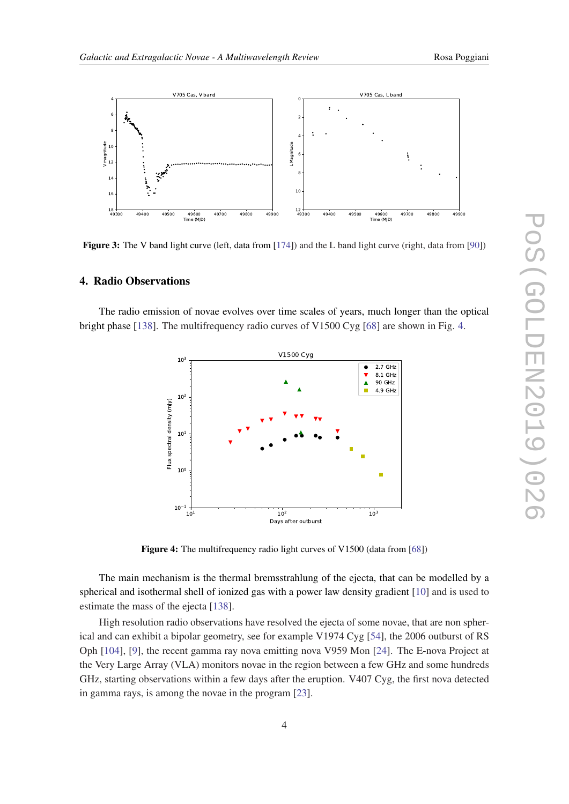<span id="page-4-0"></span>

Figure 3: The V band light curve (left, data from [\[174](#page-17-0)]) and the L band light curve (right, data from [[90\]](#page-15-0))

#### 4. Radio Observations

The radio emission of novae evolves over time scales of years, much longer than the optical bright phase [\[138\]](#page-16-0). The multifrequency radio curves of V1500 Cyg [\[68](#page-14-0)] are shown in Fig. 4.



Figure 4: The multifrequency radio light curves of V1500 (data from [[68\]](#page-14-0))

The main mechanism is the thermal bremsstrahlung of the ejecta, that can be modelled by a spherical and isothermal shell of ionized gas with a power law density gradient [[10\]](#page-12-0) and is used to estimate the mass of the ejecta [[138](#page-16-0)].

High resolution radio observations have resolved the ejecta of some novae, that are non spherical and can exhibit a bipolar geometry, see for example V1974 Cyg [[54](#page-13-0)], the 2006 outburst of RS Oph [[104](#page-15-0)], [\[9\]](#page-12-0), the recent gamma ray nova emitting nova V959 Mon [[24\]](#page-13-0). The E-nova Project at the Very Large Array (VLA) monitors novae in the region between a few GHz and some hundreds GHz, starting observations within a few days after the eruption. V407 Cyg, the first nova detected in gamma rays, is among the novae in the program [\[23](#page-13-0)].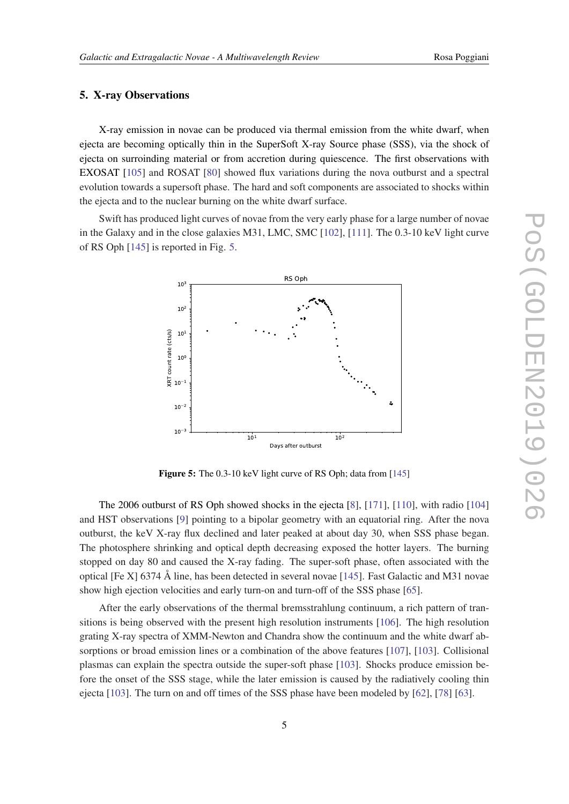#### 5. X-ray Observations

X-ray emission in novae can be produced via thermal emission from the white dwarf, when ejecta are becoming optically thin in the SuperSoft X-ray Source phase (SSS), via the shock of ejecta on surroinding material or from accretion during quiescence. The first observations with EXOSAT [\[105\]](#page-15-0) and ROSAT [\[80](#page-14-0)] showed flux variations during the nova outburst and a spectral evolution towards a supersoft phase. The hard and soft components are associated to shocks within the ejecta and to the nuclear burning on the white dwarf surface.

Swift has produced light curves of novae from the very early phase for a large number of novae in the Galaxy and in the close galaxies M31, LMC, SMC [[102\]](#page-15-0), [[111](#page-15-0)]. The 0.3-10 keV light curve of RS Oph [\[145\]](#page-16-0) is reported in Fig. 5.



Figure 5: The 0.3-10 keV light curve of RS Oph; data from [[145\]](#page-16-0)

The 2006 outburst of RS Oph showed shocks in the ejecta [\[8\]](#page-12-0), [\[171](#page-17-0)], [[110\]](#page-15-0), with radio [[104](#page-15-0)] and HST observations [\[9\]](#page-12-0) pointing to a bipolar geometry with an equatorial ring. After the nova outburst, the keV X-ray flux declined and later peaked at about day 30, when SSS phase began. The photosphere shrinking and optical depth decreasing exposed the hotter layers. The burning stopped on day 80 and caused the X-ray fading. The super-soft phase, often associated with the optical [Fe X] 6374 Å line, has been detected in several novae [\[145](#page-16-0)]. Fast Galactic and M31 novae show high ejection velocities and early turn-on and turn-off of the SSS phase [\[65](#page-14-0)].

After the early observations of the thermal bremsstrahlung continuum, a rich pattern of transitions is being observed with the present high resolution instruments [\[106\]](#page-15-0). The high resolution grating X-ray spectra of XMM-Newton and Chandra show the continuum and the white dwarf ab-sorptions or broad emission lines or a combination of the above features [[107\]](#page-15-0), [\[103](#page-15-0)]. Collisional plasmas can explain the spectra outside the super-soft phase [\[103\]](#page-15-0). Shocks produce emission before the onset of the SSS stage, while the later emission is caused by the radiatively cooling thin ejecta [\[103\]](#page-15-0). The turn on and off times of the SSS phase have been modeled by [\[62\]](#page-14-0), [[78\]](#page-14-0) [[63\]](#page-14-0).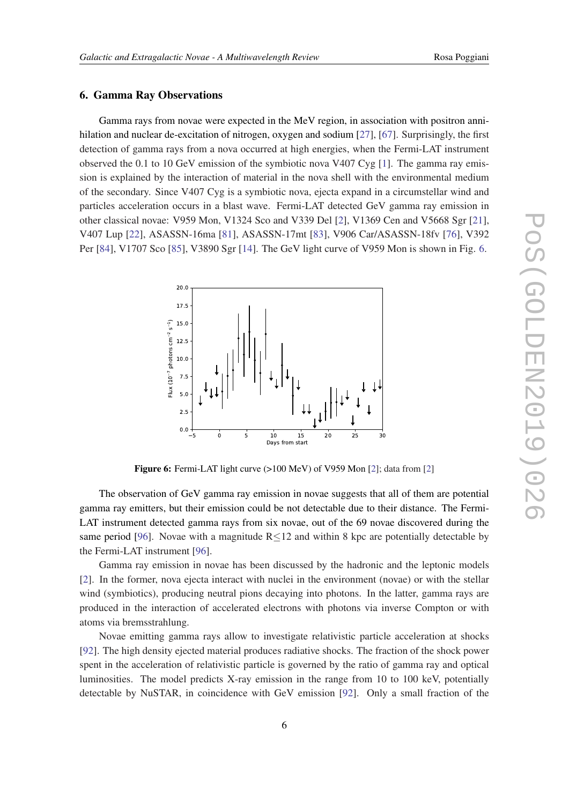#### 6. Gamma Ray Observations

Gamma rays from novae were expected in the MeV region, in association with positron annihilation and nuclear de-excitation of nitrogen, oxygen and sodium [\[27](#page-13-0)], [[67\]](#page-14-0). Surprisingly, the first detection of gamma rays from a nova occurred at high energies, when the Fermi-LAT instrument observed the 0.1 to 10 GeV emission of the symbiotic nova V407 Cyg [[1](#page-12-0)]. The gamma ray emission is explained by the interaction of material in the nova shell with the environmental medium of the secondary. Since V407 Cyg is a symbiotic nova, ejecta expand in a circumstellar wind and particles acceleration occurs in a blast wave. Fermi-LAT detected GeV gamma ray emission in other classical novae: V959 Mon, V1324 Sco and V339 Del [\[2](#page-12-0)], V1369 Cen and V5668 Sgr [[21\]](#page-12-0), V407 Lup [\[22](#page-13-0)], ASASSN-16ma [\[81](#page-14-0)], ASASSN-17mt [[83\]](#page-14-0), V906 Car/ASASSN-18fv [\[76\]](#page-14-0), V392 Per [\[84](#page-14-0)], V1707 Sco [\[85](#page-14-0)], V3890 Sgr [\[14](#page-12-0)]. The GeV light curve of V959 Mon is shown in Fig. 6.



Figure 6: Fermi-LAT light curve (>100 MeV) of V959 Mon [\[2](#page-12-0)]; data from [2]

The observation of GeV gamma ray emission in novae suggests that all of them are potential gamma ray emitters, but their emission could be not detectable due to their distance. The Fermi-LAT instrument detected gamma rays from six novae, out of the 69 novae discovered during the same period [[96\]](#page-15-0). Novae with a magnitude  $R \le 12$  and within 8 kpc are potentially detectable by the Fermi-LAT instrument [[96\]](#page-15-0).

Gamma ray emission in novae has been discussed by the hadronic and the leptonic models [[2](#page-12-0)]. In the former, nova ejecta interact with nuclei in the environment (novae) or with the stellar wind (symbiotics), producing neutral pions decaying into photons. In the latter, gamma rays are produced in the interaction of accelerated electrons with photons via inverse Compton or with atoms via bremsstrahlung.

Novae emitting gamma rays allow to investigate relativistic particle acceleration at shocks [[92\]](#page-15-0). The high density ejected material produces radiative shocks. The fraction of the shock power spent in the acceleration of relativistic particle is governed by the ratio of gamma ray and optical luminosities. The model predicts X-ray emission in the range from 10 to 100 keV, potentially detectable by NuSTAR, in coincidence with GeV emission [[92\]](#page-15-0). Only a small fraction of the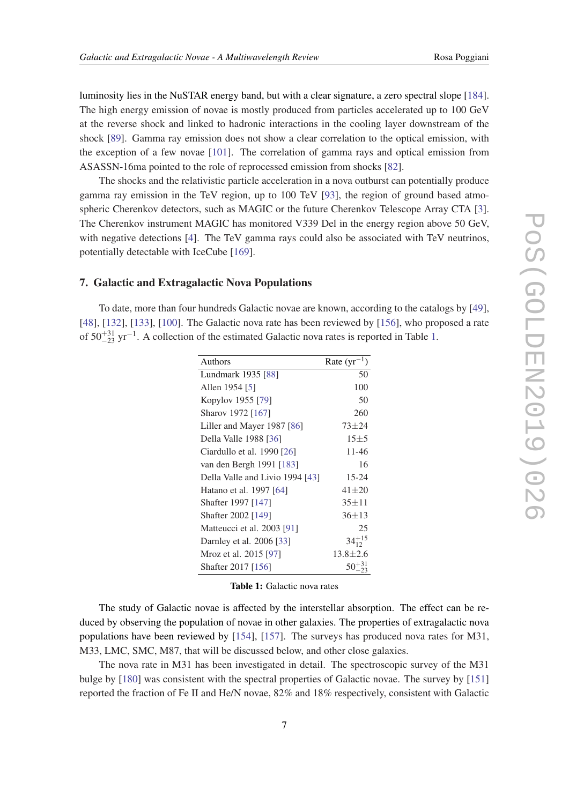luminosity lies in the NuSTAR energy band, but with a clear signature, a zero spectral slope [\[184\]](#page-18-0). The high energy emission of novae is mostly produced from particles accelerated up to 100 GeV at the reverse shock and linked to hadronic interactions in the cooling layer downstream of the shock [[89\]](#page-15-0). Gamma ray emission does not show a clear correlation to the optical emission, with the exception of a few novae [[101](#page-15-0)]. The correlation of gamma rays and optical emission from ASASSN-16ma pointed to the role of reprocessed emission from shocks [[82\]](#page-14-0).

The shocks and the relativistic particle acceleration in a nova outburst can potentially produce gamma ray emission in the TeV region, up to 100 TeV [[93\]](#page-15-0), the region of ground based atmospheric Cherenkov detectors, such as MAGIC or the future Cherenkov Telescope Array CTA [\[3\]](#page-12-0). The Cherenkov instrument MAGIC has monitored V339 Del in the energy region above 50 GeV, with negative detections [\[4](#page-12-0)]. The TeV gamma rays could also be associated with TeV neutrinos, potentially detectable with IceCube [[169\]](#page-17-0).

#### 7. Galactic and Extragalactic Nova Populations

To date, more than four hundreds Galactic novae are known, according to the catalogs by [[49\]](#page-13-0), [[48\]](#page-13-0), [[132](#page-16-0)], [[133](#page-16-0)], [\[100\]](#page-15-0). The Galactic nova rate has been reviewed by [[156](#page-17-0)], who proposed a rate of  $50^{+31}_{-23}$  yr<sup>-1</sup>. A collection of the estimated Galactic nova rates is reported in Table 1.

| Authors                         | Rate $(yr^{-1})$ |
|---------------------------------|------------------|
| Lundmark 1935 [88]              | 50               |
| Allen 1954 [5]                  | 100              |
| Kopylov 1955 [79]               | 50               |
| Sharov 1972 [167]               | 260              |
| Liller and Mayer 1987 [86]      | $73 + 24$        |
| Della Valle 1988 [36]           | $15 + 5$         |
| Ciardullo et al. 1990 [26]      | 11-46            |
| van den Bergh 1991 [183]        | 16               |
| Della Valle and Livio 1994 [43] | 15-24            |
| Hatano et al. 1997 [64]         | $41 + 20$        |
| Shafter 1997 [147]              | $35 + 11$        |
| Shafter 2002 [149]              | $36 \pm 13$      |
| Matteucci et al. 2003 [91]      | 25               |
| Darnley et al. 2006 [33]        | $34_{12}^{+15}$  |
| Mroz et al. 2015 [97]           | $13.8 \pm 2.6$   |
| Shafter 2017 [156]              |                  |

Table 1: Galactic nova rates

The study of Galactic novae is affected by the interstellar absorption. The effect can be reduced by observing the population of novae in other galaxies. The properties of extragalactic nova populations have been reviewed by [[154\]](#page-17-0), [[157\]](#page-17-0). The surveys has produced nova rates for M31, M33, LMC, SMC, M87, that will be discussed below, and other close galaxies.

The nova rate in M31 has been investigated in detail. The spectroscopic survey of the M31 bulge by [[180](#page-17-0)] was consistent with the spectral properties of Galactic novae. The survey by [[151](#page-16-0)] reported the fraction of Fe II and He/N novae, 82% and 18% respectively, consistent with Galactic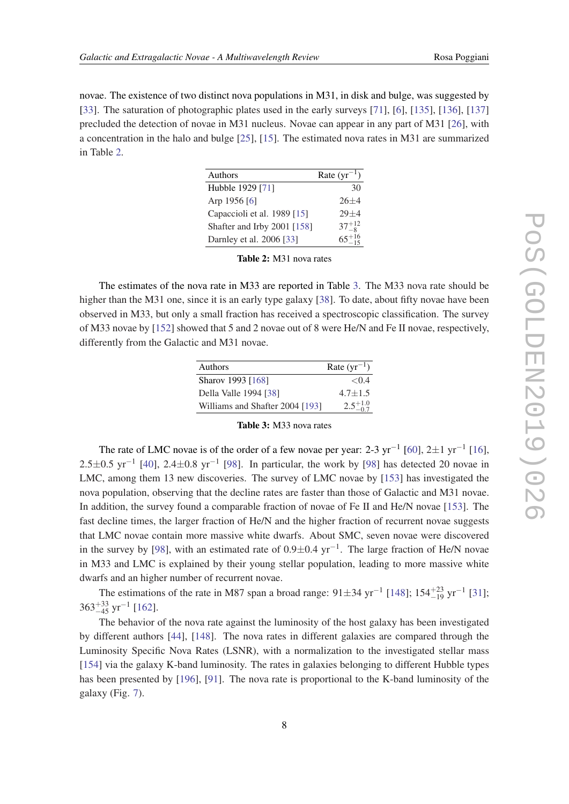novae. The existence of two distinct nova populations in M31, in disk and bulge, was suggested by [[33\]](#page-13-0). The saturation of photographic plates used in the early surveys [[71\]](#page-14-0), [[6](#page-12-0)], [\[135](#page-16-0)], [[136\]](#page-16-0), [[137](#page-16-0)] precluded the detection of novae in M31 nucleus. Novae can appear in any part of M31 [\[26](#page-13-0)], with a concentration in the halo and bulge [\[25](#page-13-0)], [\[15](#page-12-0)]. The estimated nova rates in M31 are summarized in Table 2.

| Authors                     | Rate $(yr^{-1})$     |
|-----------------------------|----------------------|
| Hubble 1929 [71]            | 30                   |
| Arp 1956 [6]                | $26+4$               |
| Capaccioli et al. 1989 [15] | $29 + 4$             |
| Shafter and Irby 2001 [158] | $37^{+12}_{-8}$      |
| Darnley et al. 2006 [33]    | $65 + \frac{16}{15}$ |

Table 2: M31 nova rates

The estimates of the nova rate in M33 are reported in Table 3. The M33 nova rate should be higher than the M31 one, since it is an early type galaxy [\[38](#page-13-0)]. To date, about fifty novae have been observed in M33, but only a small fraction has received a spectroscopic classification. The survey of M33 novae by [[152\]](#page-17-0) showed that 5 and 2 novae out of 8 were He/N and Fe II novae, respectively, differently from the Galactic and M31 novae.

| Authors                         | Rate $(yr^{-1})$    |
|---------------------------------|---------------------|
| Sharov 1993 [168]               | < 0.4               |
| Della Valle 1994 [38]           | $4.7 + 1.5$         |
| Williams and Shafter 2004 [193] | $2.5^{+1.0}_{-0.7}$ |

| <b>Table 3:</b> M33 nova rates |  |  |
|--------------------------------|--|--|
|--------------------------------|--|--|

The rate of LMC novae is of the order of a few novae per year: 2-3 yr<sup>-1</sup> [\[60](#page-14-0)], 2 $\pm$ 1 yr<sup>-1</sup> [[16\]](#page-12-0), 2.5 $\pm$ 0.5 yr<sup>-1</sup> [[40\]](#page-13-0), 2.4 $\pm$ 0.8 yr<sup>-1</sup> [[98](#page-15-0)]. In particular, the work by [\[98\]](#page-15-0) has detected 20 novae in LMC, among them 13 new discoveries. The survey of LMC novae by [[153](#page-17-0)] has investigated the nova population, observing that the decline rates are faster than those of Galactic and M31 novae. In addition, the survey found a comparable fraction of novae of Fe II and He/N novae [[153](#page-17-0)]. The fast decline times, the larger fraction of He/N and the higher fraction of recurrent novae suggests that LMC novae contain more massive white dwarfs. About SMC, seven novae were discovered in the survey by [\[98](#page-15-0)], with an estimated rate of  $0.9 \pm 0.4$  yr<sup>-1</sup>. The large fraction of He/N novae in M33 and LMC is explained by their young stellar population, leading to more massive white dwarfs and an higher number of recurrent novae.

The estimations of the rate in M87 span a broad range:  $91 \pm 34$  yr<sup>-1</sup> [[148](#page-16-0)]; 154<sup> $+23$ </sup> yr<sup>-1</sup> [\[31](#page-13-0)];  $363^{+33}_{-45}$  yr<sup>-1</sup> [\[162\]](#page-17-0).

The behavior of the nova rate against the luminosity of the host galaxy has been investigated by different authors [[44\]](#page-13-0), [\[148](#page-16-0)]. The nova rates in different galaxies are compared through the Luminosity Specific Nova Rates (LSNR), with a normalization to the investigated stellar mass [[154](#page-17-0)] via the galaxy K-band luminosity. The rates in galaxies belonging to different Hubble types has been presented by [[196](#page-18-0)], [[91\]](#page-15-0). The nova rate is proportional to the K-band luminosity of the galaxy (Fig. [7\)](#page-9-0).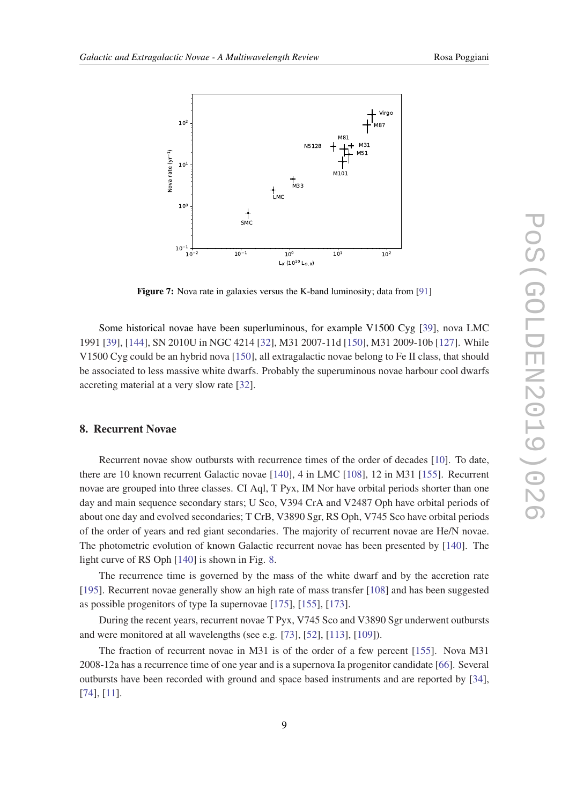<span id="page-9-0"></span>

Figure 7: Nova rate in galaxies versus the K-band luminosity; data from [[91\]](#page-15-0)

Some historical novae have been superluminous, for example V1500 Cyg [\[39](#page-13-0)], nova LMC 1991 [\[39](#page-13-0)], [[144\]](#page-16-0), SN 2010U in NGC 4214 [[32](#page-13-0)], M31 2007-11d [\[150\]](#page-16-0), M31 2009-10b [\[127\]](#page-16-0). While V1500 Cyg could be an hybrid nova [\[150\]](#page-16-0), all extragalactic novae belong to Fe II class, that should be associated to less massive white dwarfs. Probably the superuminous novae harbour cool dwarfs accreting material at a very slow rate [\[32](#page-13-0)].

### 8. Recurrent Novae

Recurrent novae show outbursts with recurrence times of the order of decades [[10\]](#page-12-0). To date, there are 10 known recurrent Galactic novae [[140](#page-16-0)], 4 in LMC [\[108\]](#page-15-0), 12 in M31 [[155\]](#page-17-0). Recurrent novae are grouped into three classes. CI Aql, T Pyx, IM Nor have orbital periods shorter than one day and main sequence secondary stars; U Sco, V394 CrA and V2487 Oph have orbital periods of about one day and evolved secondaries; T CrB, V3890 Sgr, RS Oph, V745 Sco have orbital periods of the order of years and red giant secondaries. The majority of recurrent novae are He/N novae. The photometric evolution of known Galactic recurrent novae has been presented by [[140](#page-16-0)]. The light curve of RS Oph [[140](#page-16-0)] is shown in Fig. [8.](#page-10-0)

The recurrence time is governed by the mass of the white dwarf and by the accretion rate [[195](#page-18-0)]. Recurrent novae generally show an high rate of mass transfer [[108](#page-15-0)] and has been suggested as possible progenitors of type Ia supernovae [\[175\]](#page-17-0), [\[155\]](#page-17-0), [\[173\]](#page-17-0).

During the recent years, recurrent novae T Pyx, V745 Sco and V3890 Sgr underwent outbursts and were monitored at all wavelengths (see e.g. [\[73](#page-14-0)], [\[52\]](#page-13-0), [[113](#page-15-0)], [[109](#page-15-0)]).

The fraction of recurrent novae in M31 is of the order of a few percent [[155\]](#page-17-0). Nova M31 2008-12a has a recurrence time of one year and is a supernova Ia progenitor candidate [\[66](#page-14-0)]. Several outbursts have been recorded with ground and space based instruments and are reported by [[34\]](#page-13-0), [[74\]](#page-14-0), [[11\]](#page-12-0).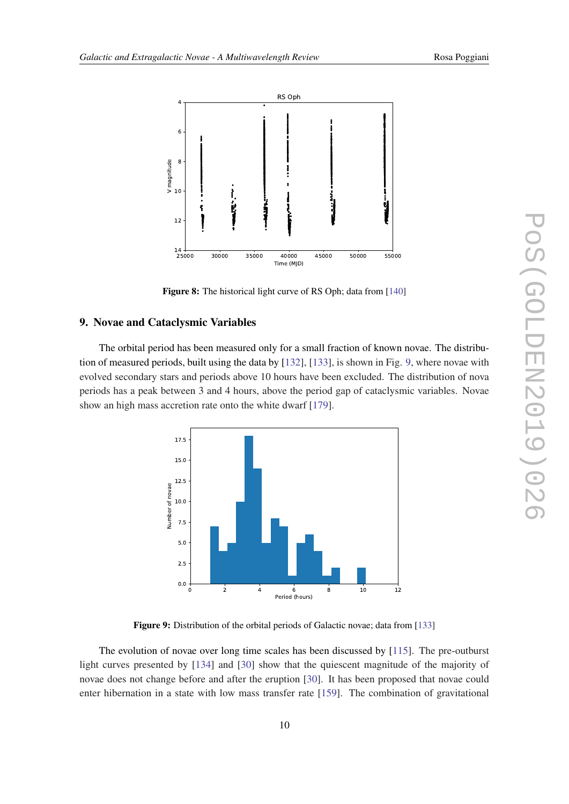<span id="page-10-0"></span>

Figure 8: The historical light curve of RS Oph; data from [[140\]](#page-16-0)

#### 9. Novae and Cataclysmic Variables

The orbital period has been measured only for a small fraction of known novae. The distribution of measured periods, built using the data by [\[132\]](#page-16-0), [\[133](#page-16-0)], is shown in Fig. 9, where novae with evolved secondary stars and periods above 10 hours have been excluded. The distribution of nova periods has a peak between 3 and 4 hours, above the period gap of cataclysmic variables. Novae show an high mass accretion rate onto the white dwarf [\[179\]](#page-17-0).



Figure 9: Distribution of the orbital periods of Galactic novae; data from [\[133](#page-16-0)]

The evolution of novae over long time scales has been discussed by [[115](#page-15-0)]. The pre-outburst light curves presented by [\[134\]](#page-16-0) and [\[30](#page-13-0)] show that the quiescent magnitude of the majority of novae does not change before and after the eruption [\[30\]](#page-13-0). It has been proposed that novae could enter hibernation in a state with low mass transfer rate [\[159](#page-17-0)]. The combination of gravitational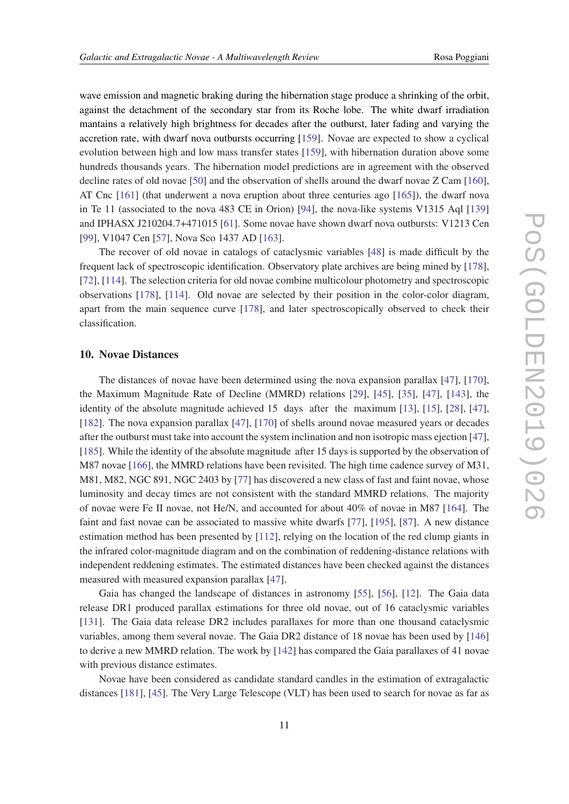wave emission and magnetic braking during the hibernation stage produce a shrinking of the orbit, against the detachment of the secondary star from its Roche lobe. The white dwarf irradiation mantains a relatively high brightness for decades after the outburst, later fading and varying the accretion rate, with dwarf nova outbursts occurring [[159\]](#page-17-0). Novae are expected to show a cyclical evolution between high and low mass transfer states [\[159\]](#page-17-0), with hibernation duration above some hundreds thousands years. The hibernation model predictions are in agreement with the observed decline rates of old novae [[50\]](#page-13-0) and the observation of shells around the dwarf novae Z Cam [\[160\]](#page-17-0), AT Cnc [\[161\]](#page-17-0) (that underwent a nova eruption about three centuries ago [[165](#page-17-0)]), the dwarf nova in Te 11 (associated to the nova 483 CE in Orion) [[94\]](#page-15-0), the nova-like systems V1315 Aql [[139](#page-16-0)] and IPHASX J210204.7+471015 [\[61](#page-14-0)]. Some novae have shown dwarf nova outbursts: V1213 Cen [[99\]](#page-15-0), V1047 Cen [\[57](#page-14-0)], Nova Sco 1437 AD [[163](#page-17-0)].

The recover of old novae in catalogs of cataclysmic variables [\[48](#page-13-0)] is made difficult by the frequent lack of spectroscopic identification. Observatory plate archives are being mined by [\[178\]](#page-17-0), [[72\]](#page-14-0), [\[114\]](#page-15-0). The selection criteria for old novae combine multicolour photometry and spectroscopic observations [[178](#page-17-0)], [[114\]](#page-15-0). Old novae are selected by their position in the color-color diagram, apart from the main sequence curve [[178](#page-17-0)], and later spectroscopically observed to check their classification.

#### 10. Novae Distances

The distances of novae have been determined using the nova expansion parallax [[47\]](#page-13-0), [\[170\]](#page-17-0), the Maximum Magnitude Rate of Decline (MMRD) relations [\[29](#page-13-0)], [[45\]](#page-13-0), [\[35](#page-13-0)], [[47\]](#page-13-0), [\[143\]](#page-16-0), the identity of the absolute magnitude achieved 15 days after the maximum [[13\]](#page-12-0), [[15\]](#page-12-0), [\[28](#page-13-0)], [[47\]](#page-13-0), [[182](#page-17-0)]. The nova expansion parallax [\[47](#page-13-0)], [\[170](#page-17-0)] of shells around novae measured years or decades after the outburst must take into account the system inclination and non isotropic mass ejection [[47\]](#page-13-0), [[185](#page-18-0)]. While the identity of the absolute magnitude after 15 days is supported by the observation of M87 novae [\[166](#page-17-0)], the MMRD relations have been revisited. The high time cadence survey of M31, M81, M82, NGC 891, NGC 2403 by [[77\]](#page-14-0) has discovered a new class of fast and faint novae, whose luminosity and decay times are not consistent with the standard MMRD relations. The majority of novae were Fe II novae, not He/N, and accounted for about 40% of novae in M87 [\[164](#page-17-0)]. The faint and fast novae can be associated to massive white dwarfs [\[77](#page-14-0)], [[195](#page-18-0)], [\[87](#page-14-0)]. A new distance estimation method has been presented by [[112](#page-15-0)], relying on the location of the red clump giants in the infrared color-magnitude diagram and on the combination of reddening-distance relations with independent reddening estimates. The estimated distances have been checked against the distances measured with measured expansion parallax [[47\]](#page-13-0).

Gaia has changed the landscape of distances in astronomy [[55\]](#page-13-0), [\[56\]](#page-14-0), [\[12](#page-12-0)]. The Gaia data release DR1 produced parallax estimations for three old novae, out of 16 cataclysmic variables [[131](#page-16-0)]. The Gaia data release DR2 includes parallaxes for more than one thousand cataclysmic variables, among them several novae. The Gaia DR2 distance of 18 novae has been used by [[146](#page-16-0)] to derive a new MMRD relation. The work by [[142](#page-16-0)] has compared the Gaia parallaxes of 41 novae with previous distance estimates.

Novae have been considered as candidate standard candles in the estimation of extragalactic distances [[181](#page-17-0)], [[45\]](#page-13-0). The Very Large Telescope (VLT) has been used to search for novae as far as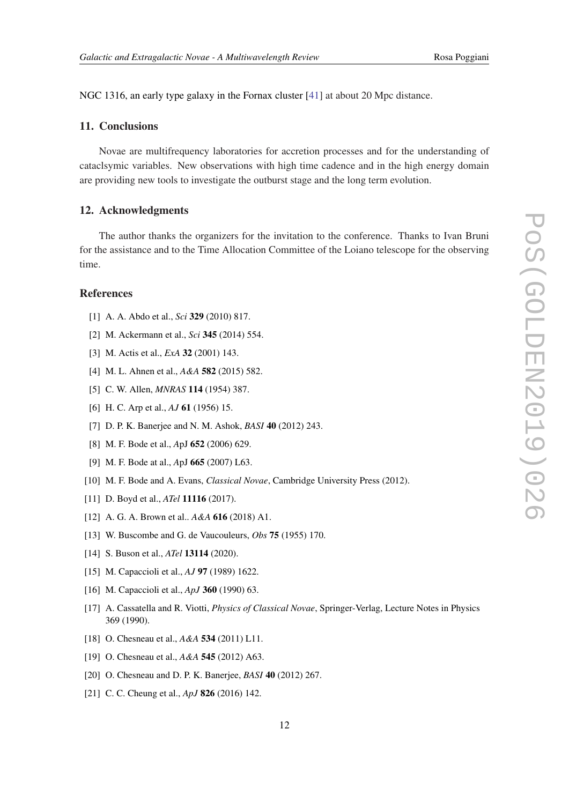<span id="page-12-0"></span>NGC 1316, an early type galaxy in the Fornax cluster [\[41](#page-13-0)] at about 20 Mpc distance.

#### 11. Conclusions

Novae are multifrequency laboratories for accretion processes and for the understanding of cataclsymic variables. New observations with high time cadence and in the high energy domain are providing new tools to investigate the outburst stage and the long term evolution.

#### 12. Acknowledgments

The author thanks the organizers for the invitation to the conference. Thanks to Ivan Bruni for the assistance and to the Time Allocation Committee of the Loiano telescope for the observing time.

#### References

- [1] A. A. Abdo et al., *Sci* 329 (2010) 817.
- [2] M. Ackermann et al., *Sci* 345 (2014) 554.
- [3] M. Actis et al., *ExA* 32 (2001) 143.
- [4] M. L. Ahnen et al., *A&A* 582 (2015) 582.
- [5] C. W. Allen, *MNRAS* 114 (1954) 387.
- [6] H. C. Arp et al., *AJ* 61 (1956) 15.
- [7] D. P. K. Banerjee and N. M. Ashok, *BASI* 40 (2012) 243.
- [8] M. F. Bode et al., *A*pJ 652 (2006) 629.
- [9] M. F. Bode at al., *A*pJ 665 (2007) L63.
- [10] M. F. Bode and A. Evans, *Classical Novae*, Cambridge University Press (2012).
- [11] D. Boyd et al., *ATel* **11116** (2017).
- [12] A. G. A. Brown et al.. *A&A* 616 (2018) A1.
- [13] W. Buscombe and G. de Vaucouleurs, *Obs* 75 (1955) 170.
- [14] S. Buson et al., *ATel* **13114** (2020).
- [15] M. Capaccioli et al., *AJ* 97 (1989) 1622.
- [16] M. Capaccioli et al., *ApJ* 360 (1990) 63.
- [17] A. Cassatella and R. Viotti, *Physics of Classical Novae*, Springer-Verlag, Lecture Notes in Physics 369 (1990).
- [18] O. Chesneau et al., *A&A* 534 (2011) L11.
- [19] O. Chesneau et al., *A&A* 545 (2012) A63.
- [20] O. Chesneau and D. P. K. Banerjee, *BASI* 40 (2012) 267.
- [21] C. C. Cheung et al., *ApJ* 826 (2016) 142.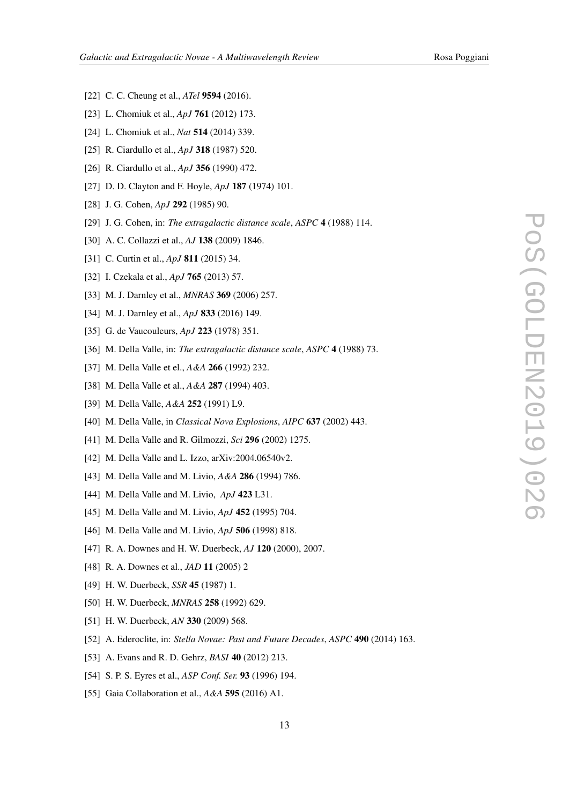- <span id="page-13-0"></span>[22] C. C. Cheung et al., *ATel* 9594 (2016).
- [23] L. Chomiuk et al., *ApJ* 761 (2012) 173.
- [24] L. Chomiuk et al., *Nat* 514 (2014) 339.
- [25] R. Ciardullo et al., *ApJ* 318 (1987) 520.
- [26] R. Ciardullo et al., *ApJ* 356 (1990) 472.
- [27] D. D. Clayton and F. Hoyle, *ApJ* 187 (1974) 101.
- [28] J. G. Cohen, *ApJ* 292 (1985) 90.
- [29] J. G. Cohen, in: *The extragalactic distance scale*, *ASPC* 4 (1988) 114.
- [30] A. C. Collazzi et al., *AJ* 138 (2009) 1846.
- [31] C. Curtin et al., *ApJ* 811 (2015) 34.
- [32] I. Czekala et al., *ApJ* 765 (2013) 57.
- [33] M. J. Darnley et al., *MNRAS* 369 (2006) 257.
- [34] M. J. Darnley et al., *ApJ* 833 (2016) 149.
- [35] G. de Vaucouleurs, *ApJ* 223 (1978) 351.
- [36] M. Della Valle, in: *The extragalactic distance scale*, *ASPC* 4 (1988) 73.
- [37] M. Della Valle et el., *A&A* 266 (1992) 232.
- [38] M. Della Valle et al., *A&A* 287 (1994) 403.
- [39] M. Della Valle, *A&A* 252 (1991) L9.
- [40] M. Della Valle, in *Classical Nova Explosions*, *AIPC* 637 (2002) 443.
- [41] M. Della Valle and R. Gilmozzi, *Sci* 296 (2002) 1275.
- [42] M. Della Valle and L. Izzo, arXiv:2004.06540v2.
- [43] M. Della Valle and M. Livio, *A&A* 286 (1994) 786.
- [44] M. Della Valle and M. Livio, *ApJ* 423 L31.
- [45] M. Della Valle and M. Livio, *ApJ* 452 (1995) 704.
- [46] M. Della Valle and M. Livio, *ApJ* 506 (1998) 818.
- [47] R. A. Downes and H. W. Duerbeck, *AJ* 120 (2000), 2007.
- [48] R. A. Downes et al., *JAD* 11 (2005) 2
- [49] H. W. Duerbeck, *SSR* 45 (1987) 1.
- [50] H. W. Duerbeck, *MNRAS* 258 (1992) 629.
- [51] H. W. Duerbeck, *AN* 330 (2009) 568.
- [52] A. Ederoclite, in: *Stella Novae: Past and Future Decades*, *ASPC* 490 (2014) 163.
- [53] A. Evans and R. D. Gehrz, *BASI* 40 (2012) 213.
- [54] S. P. S. Eyres et al., *ASP Conf. Ser.* 93 (1996) 194.
- [55] Gaia Collaboration et al., *A&A* 595 (2016) A1.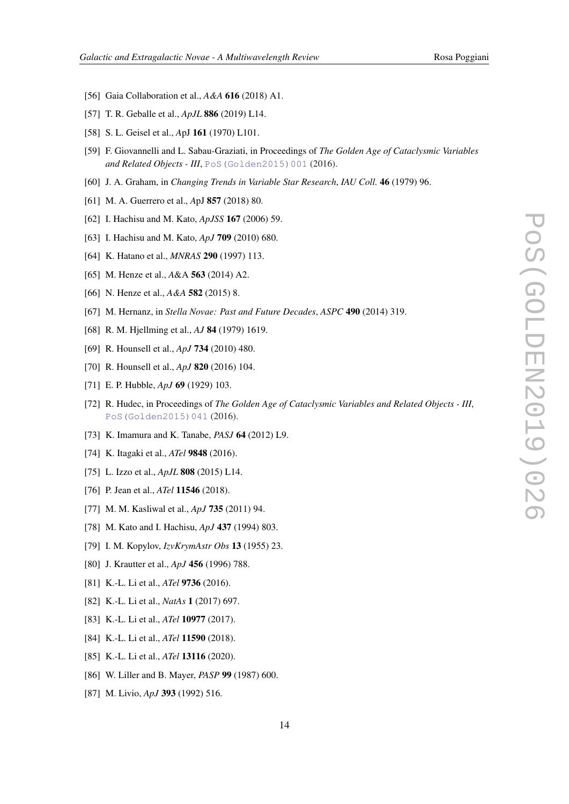- <span id="page-14-0"></span>[56] Gaia Collaboration et al., *A&A* 616 (2018) A1.
- [57] T. R. Geballe et al., *ApJL* 886 (2019) L14.
- [58] S. L. Geisel et al., *A*pJ 161 (1970) L101.
- [59] F. Giovannelli and L. Sabau-Graziati, in Proceedings of *The Golden Age of Cataclysmic Variables* and Related Objects - III, PoS (Golden2015) 001 (2016).
- [60] J. A. Graham, in *Changing Trends in Variable Star Research*, *IAU Coll.* 46 (1979) 96.
- [61] M. A. Guerrero et al., *A*pJ 857 (2018) 80.
- [62] I. Hachisu and M. Kato, *ApJSS* 167 (2006) 59.
- [63] I. Hachisu and M. Kato, *ApJ* 709 (2010) 680.
- [64] K. Hatano et al., *MNRAS* 290 (1997) 113.
- [65] M. Henze et al., *A*&A 563 (2014) A2.
- [66] N. Henze et al., *A&A* 582 (2015) 8.
- [67] M. Hernanz, in *Stella Novae: Past and Future Decades*, *ASPC* 490 (2014) 319.
- [68] R. M. Hjellming et al., *AJ* 84 (1979) 1619.
- [69] R. Hounsell et al., *ApJ* 734 (2010) 480.
- [70] R. Hounsell et al., *ApJ* 820 (2016) 104.
- [71] E. P. Hubble, *ApJ* 69 (1929) 103.
- [72] R. Hudec, in Proceedings of *The Golden Age of Cataclysmic Variables and Related Objects III*, [PoS\(Golden2015\)041](https://pos.sissa.it/cgi-bin/reader/contribution.cgi?id=PoS(Golden2015)041) (2016).
- [73] K. Imamura and K. Tanabe, *PASJ* 64 (2012) L9.
- [74] K. Itagaki et al., *ATel* 9848 (2016).
- [75] L. Izzo et al., *ApJL* 808 (2015) L14.
- [76] P. Jean et al., *ATel* **11546** (2018).
- [77] M. M. Kasliwal et al., *ApJ* 735 (2011) 94.
- [78] M. Kato and I. Hachisu, *ApJ* 437 (1994) 803.
- [79] I. M. Kopylov, *IzvKrymAstr Obs* 13 (1955) 23.
- [80] J. Krautter et al., *ApJ* 456 (1996) 788.
- [81] K.-L. Li et al., *ATel* 9736 (2016).
- [82] K.-L. Li et al., *NatAs* 1 (2017) 697.
- [83] K.-L. Li et al., *ATel* 10977 (2017).
- [84] K.-L. Li et al., *ATel* 11590 (2018).
- [85] K.-L. Li et al., *ATel* 13116 (2020).
- [86] W. Liller and B. Mayer, *PASP* 99 (1987) 600.
- [87] M. Livio, *ApJ* 393 (1992) 516.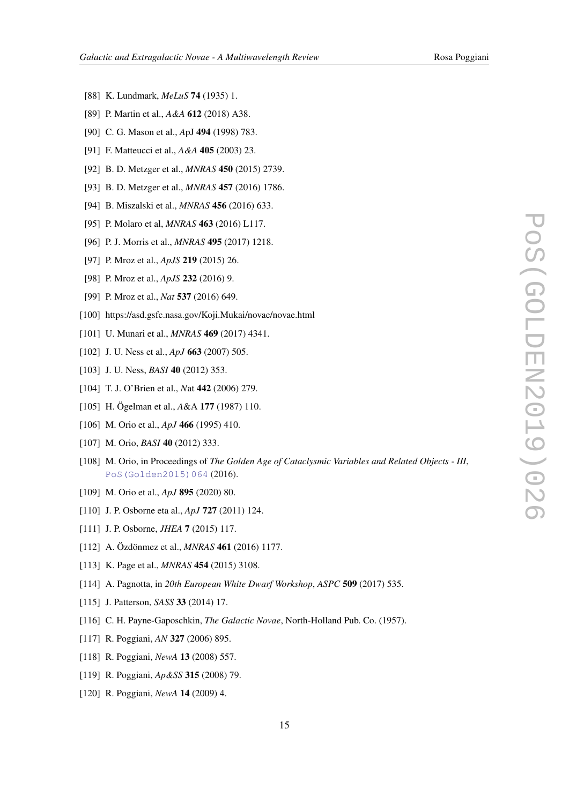- <span id="page-15-0"></span>[88] K. Lundmark, *MeLuS* 74 (1935) 1.
- [89] P. Martin et al., *A&A* 612 (2018) A38.
- [90] C. G. Mason et al., *A*pJ 494 (1998) 783.
- [91] F. Matteucci et al., *A&A* 405 (2003) 23.
- [92] B. D. Metzger et al., *MNRAS* 450 (2015) 2739.
- [93] B. D. Metzger et al., *MNRAS* 457 (2016) 1786.
- [94] B. Miszalski et al., *MNRAS* 456 (2016) 633.
- [95] P. Molaro et al, *MNRAS* 463 (2016) L117.
- [96] P. J. Morris et al., *MNRAS* 495 (2017) 1218.
- [97] P. Mroz et al., *ApJS* 219 (2015) 26.
- [98] P. Mroz et al., *ApJS* 232 (2016) 9.
- [99] P. Mroz et al., *Nat* 537 (2016) 649.
- [100] https://asd.gsfc.nasa.gov/Koji.Mukai/novae/novae.html
- [101] U. Munari et al., *MNRAS* 469 (2017) 4341.
- [102] J. U. Ness et al., *ApJ* 663 (2007) 505.
- [103] J. U. Ness, *BASI* **40** (2012) 353.
- [104] T. J. O'Brien et al., *N*at 442 (2006) 279.
- [105] H. Ögelman et al., *A*&A 177 (1987) 110.
- [106] M. Orio et al., *ApJ* **466** (1995) 410.
- [107] M. Orio, *BASI* 40 (2012) 333.
- [108] M. Orio, in Proceedings of *The Golden Age of Cataclysmic Variables and Related Objects III*, [PoS\(Golden2015\)064](https://pos.sissa.it/cgi-bin/reader/contribution.cgi?id=PoS(Golden2015)064) (2016).
- [109] M. Orio et al., *ApJ* 895 (2020) 80.
- [110] J. P. Osborne eta al., *ApJ* 727 (2011) 124.
- [111] J. P. Osborne, *JHEA* 7 (2015) 117.
- [112] A. Özdönmez et al., *MNRAS* 461 (2016) 1177.
- [113] K. Page et al., *MNRAS* 454 (2015) 3108.
- [114] A. Pagnotta, in *20th European White Dwarf Workshop*, *ASPC* 509 (2017) 535.
- [115] J. Patterson, *SASS* 33 (2014) 17.
- [116] C. H. Payne-Gaposchkin, *The Galactic Novae*, North-Holland Pub. Co. (1957).
- [117] R. Poggiani, *AN* 327 (2006) 895.
- [118] R. Poggiani, *NewA* 13 (2008) 557.
- [119] R. Poggiani, *Ap&SS* 315 (2008) 79.
- [120] R. Poggiani, *NewA* 14 (2009) 4.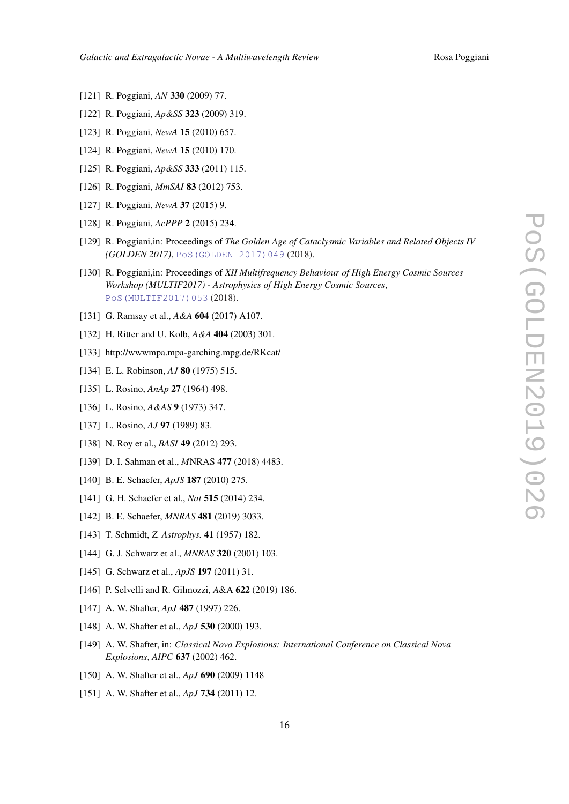- <span id="page-16-0"></span>[121] R. Poggiani, *AN* 330 (2009) 77.
- [122] R. Poggiani, *Ap&SS* 323 (2009) 319.
- [123] R. Poggiani, *NewA* 15 (2010) 657.
- [124] R. Poggiani, *NewA* 15 (2010) 170.
- [125] R. Poggiani, *Ap&SS* 333 (2011) 115.
- [126] R. Poggiani, *MmSAI* 83 (2012) 753.
- [127] R. Poggiani, *NewA* 37 (2015) 9.
- [128] R. Poggiani, *AcPPP* 2 (2015) 234.
- [129] R. Poggiani,in: Proceedings of *The Golden Age of Cataclysmic Variables and Related Objects IV (GOLDEN 2017)*, [PoS\(GOLDEN 2017\)049](https://pos.sissa.it/cgi-bin/reader/contribution.cgi?id=PoS(GOLDEN 2017)049) (2018).
- [130] R. Poggiani,in: Proceedings of *XII Multifrequency Behaviour of High Energy Cosmic Sources Workshop (MULTIF2017) - Astrophysics of High Energy Cosmic Sources*, [PoS\(MULTIF2017\)053](https://pos.sissa.it/cgi-bin/reader/contribution.cgi?id=PoS(MULTIF2017)053) (2018).
- [131] G. Ramsay et al., *A&A* 604 (2017) A107.
- [132] H. Ritter and U. Kolb, *A&A* 404 (2003) 301.
- [133] http://wwwmpa.mpa-garching.mpg.de/RKcat/
- [134] E. L. Robinson, *AJ* 80 (1975) 515.
- [135] L. Rosino, *AnAp* 27 (1964) 498.
- [136] L. Rosino, *A&AS* 9 (1973) 347.
- [137] L. Rosino, *AJ* 97 (1989) 83.
- [138] N. Roy et al., *BASI* 49 (2012) 293.
- [139] D. I. Sahman et al., *M*NRAS 477 (2018) 4483.
- [140] B. E. Schaefer, *ApJS* 187 (2010) 275.
- [141] G. H. Schaefer et al., *Nat* 515 (2014) 234.
- [142] B. E. Schaefer, *MNRAS* 481 (2019) 3033.
- [143] T. Schmidt, *Z. Astrophys.* 41 (1957) 182.
- [144] G. J. Schwarz et al., *MNRAS* 320 (2001) 103.
- [145] G. Schwarz et al., *ApJS* 197 (2011) 31.
- [146] P. Selvelli and R. Gilmozzi, *A*&A 622 (2019) 186.
- [147] A. W. Shafter, *ApJ* 487 (1997) 226.
- [148] A. W. Shafter et al., *ApJ* 530 (2000) 193.
- [149] A. W. Shafter, in: *Classical Nova Explosions: International Conference on Classical Nova Explosions*, *AIPC* 637 (2002) 462.
- [150] A. W. Shafter et al., *ApJ* 690 (2009) 1148
- [151] A. W. Shafter et al., *ApJ* 734 (2011) 12.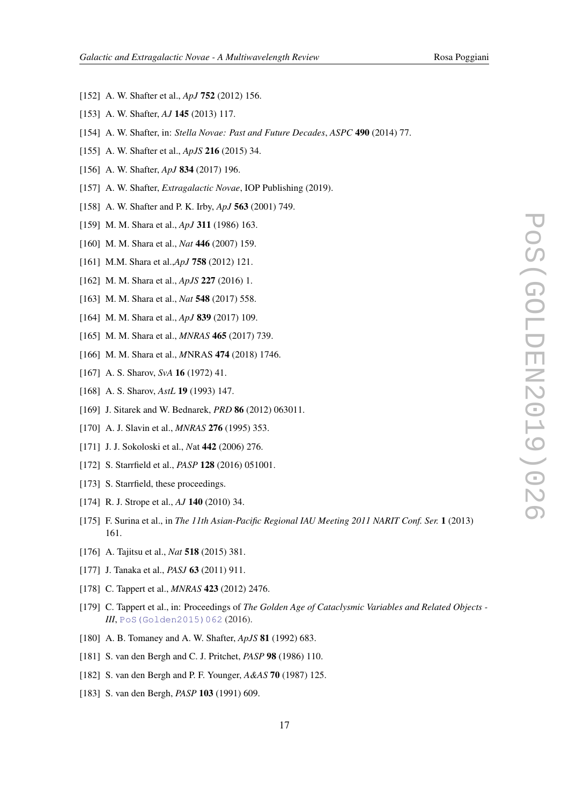- <span id="page-17-0"></span>[152] A. W. Shafter et al., *ApJ* 752 (2012) 156.
- [153] A. W. Shafter, *AJ* 145 (2013) 117.
- [154] A. W. Shafter, in: *Stella Novae: Past and Future Decades*, *ASPC* 490 (2014) 77.
- [155] A. W. Shafter et al., *ApJS* 216 (2015) 34.
- [156] A. W. Shafter, *ApJ* 834 (2017) 196.
- [157] A. W. Shafter, *Extragalactic Novae*, IOP Publishing (2019).
- [158] A. W. Shafter and P. K. Irby, *ApJ* 563 (2001) 749.
- [159] M. M. Shara et al., *ApJ* 311 (1986) 163.
- [160] M. M. Shara et al., *Nat* 446 (2007) 159.
- [161] M.M. Shara et al.,*ApJ* 758 (2012) 121.
- [162] M. M. Shara et al., *ApJS* 227 (2016) 1.
- [163] M. M. Shara et al., *Nat* 548 (2017) 558.
- [164] M. M. Shara et al., *ApJ* 839 (2017) 109.
- [165] M. M. Shara et al., *MNRAS* 465 (2017) 739.
- [166] M. M. Shara et al., *M*NRAS 474 (2018) 1746.
- [167] A. S. Sharov, *SvA* 16 (1972) 41.
- [168] A. S. Sharov, *AstL* 19 (1993) 147.
- [169] J. Sitarek and W. Bednarek, *PRD* 86 (2012) 063011.
- [170] A. J. Slavin et al., *MNRAS* 276 (1995) 353.
- [171] J. J. Sokoloski et al., *N*at 442 (2006) 276.
- [172] S. Starrfield et al., *PASP* 128 (2016) 051001.
- [173] S. Starrfield, these proceedings.
- [174] R. J. Strope et al., *AJ* 140 (2010) 34.
- [175] F. Surina et al., in *The 11th Asian-Pacific Regional IAU Meeting 2011 NARIT Conf. Ser.* 1 (2013) 161.
- [176] A. Tajitsu et al., *Nat* 518 (2015) 381.
- [177] J. Tanaka et al., *PASJ* 63 (2011) 911.
- [178] C. Tappert et al., *MNRAS* 423 (2012) 2476.
- [179] C. Tappert et al., in: Proceedings of *The Golden Age of Cataclysmic Variables and Related Objects - III*, [PoS\(Golden2015\)062](https://pos.sissa.it/cgi-bin/reader/contribution.cgi?id=PoS(Golden2015)062)(2016).
- [180] A. B. Tomaney and A. W. Shafter, *ApJS* 81 (1992) 683.
- [181] S. van den Bergh and C. J. Pritchet, *PASP* 98 (1986) 110.
- [182] S. van den Bergh and P. F. Younger, *A&AS* 70 (1987) 125.
- [183] S. van den Bergh, *PASP* 103 (1991) 609.